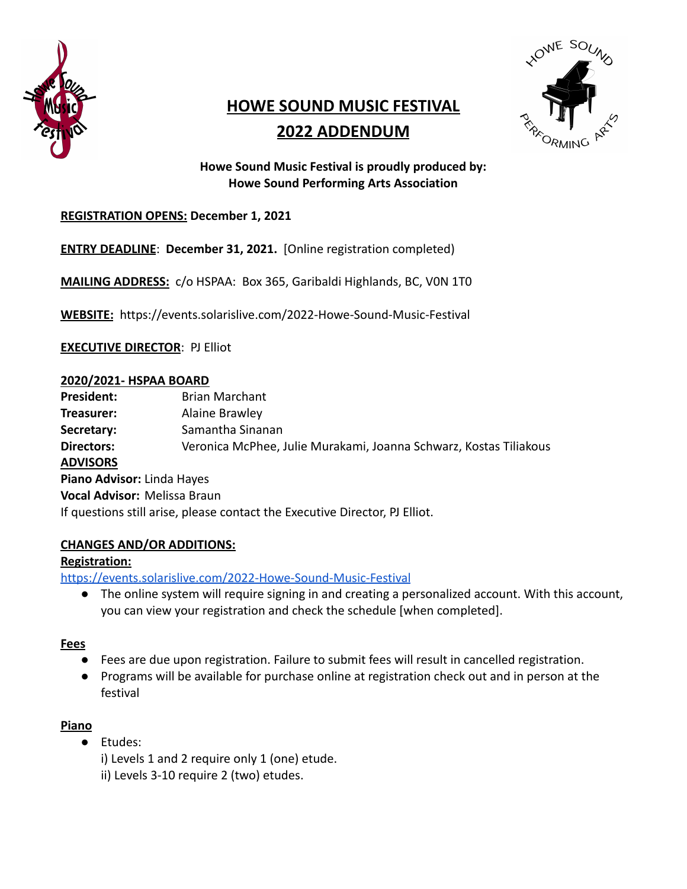

# **HOWE SOUND MUSIC FESTIVAL 2022 ADDENDUM**



# **Howe Sound Music Festival is proudly produced by: Howe Sound Performing Arts Association**

# **REGISTRATION OPENS: December 1, 2021**

**ENTRY DEADLINE**: **December 31, 2021.** [Online registration completed)

**MAILING ADDRESS:** c/o HSPAA: Box 365, Garibaldi Highlands, BC, V0N 1T0

**WEBSITE:** https://events.solarislive.com/2022-Howe-Sound-Music-Festival

**EXECUTIVE DIRECTOR**: PJ Elliot

#### **2020/2021- HSPAA BOARD**

**President:** Brian Marchant **Treasurer:** Alaine Brawley **Secretary:** Samantha Sinanan **Directors:** Veronica McPhee, Julie Murakami, Joanna Schwarz, Kostas Tiliakous **ADVISORS Piano Advisor:** Linda Hayes **Vocal Advisor:** Melissa Braun If questions still arise, please contact the Executive Director, PJ Elliot.

# **CHANGES AND/OR ADDITIONS:**

# **Registration:**

<https://events.solarislive.com/2022-Howe-Sound-Music-Festival>

● The online system will require signing in and creating a personalized account. With this account, you can view your registration and check the schedule [when completed].

#### **Fees**

- Fees are due upon registration. Failure to submit fees will result in cancelled registration.
- Programs will be available for purchase online at registration check out and in person at the festival

# **Piano**

- Etudes:
	- i) Levels 1 and 2 require only 1 (one) etude.
	- ii) Levels 3-10 require 2 (two) etudes.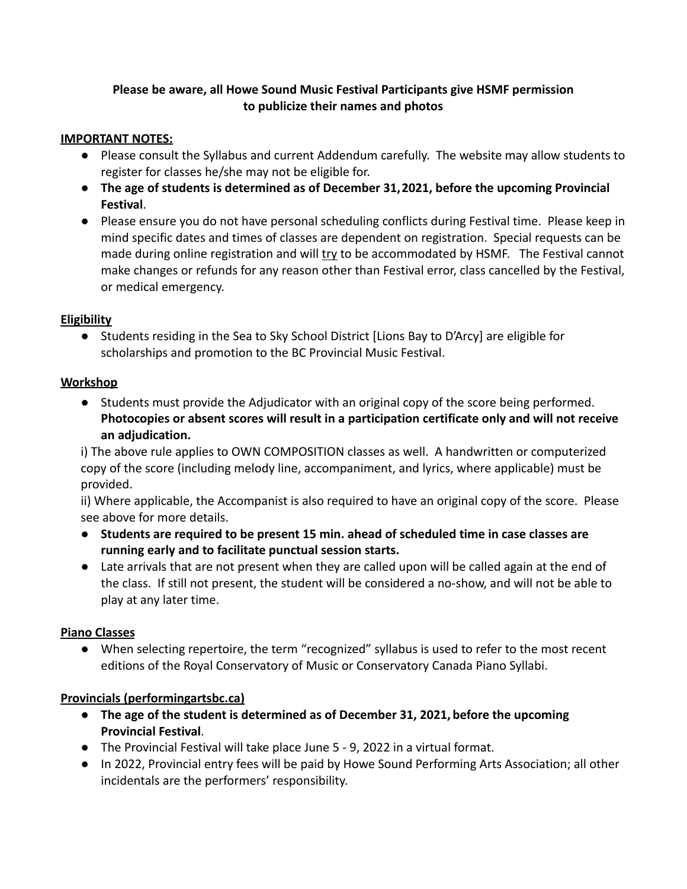# **Please be aware, all Howe Sound Music Festival Participants give HSMF permission to publicize their names and photos**

#### **IMPORTANT NOTES:**

- Please consult the Syllabus and current Addendum carefully. The website may allow students to register for classes he/she may not be eligible for.
- **The age of students is determined as of December 31,2021, before the upcoming Provincial Festival**.
- **●** Please ensure you do not have personal scheduling conflicts during Festival time. Please keep in mind specific dates and times of classes are dependent on registration. Special requests can be made during online registration and will try to be accommodated by HSMF. The Festival cannot make changes or refunds for any reason other than Festival error, class cancelled by the Festival, or medical emergency.

# **Eligibility**

● Students residing in the Sea to Sky School District [Lions Bay to D'Arcy] are eligible for scholarships and promotion to the BC Provincial Music Festival.

#### **Workshop**

● Students must provide the Adjudicator with an original copy of the score being performed. **Photocopies or absent scores will result in a participation certificate only and will not receive an adjudication.**

i) The above rule applies to OWN COMPOSITION classes as well. A handwritten or computerized copy of the score (including melody line, accompaniment, and lyrics, where applicable) must be provided.

ii) Where applicable, the Accompanist is also required to have an original copy of the score. Please see above for more details.

- **Students are required to be present 15 min. ahead of scheduled time in case classes are running early and to facilitate punctual session starts.**
- Late arrivals that are not present when they are called upon will be called again at the end of the class. If still not present, the student will be considered a no-show, and will not be able to play at any later time.

# **Piano Classes**

● When selecting repertoire, the term "recognized" syllabus is used to refer to the most recent editions of the Royal Conservatory of Music or Conservatory Canada Piano Syllabi.

#### **Provincials (performingartsbc.ca)**

- **The age of the student is determined as of December 31, 2021, before the upcoming Provincial Festival**.
- The Provincial Festival will take place June 5 9, 2022 in a virtual format.
- In 2022, Provincial entry fees will be paid by Howe Sound Performing Arts Association; all other incidentals are the performers' responsibility.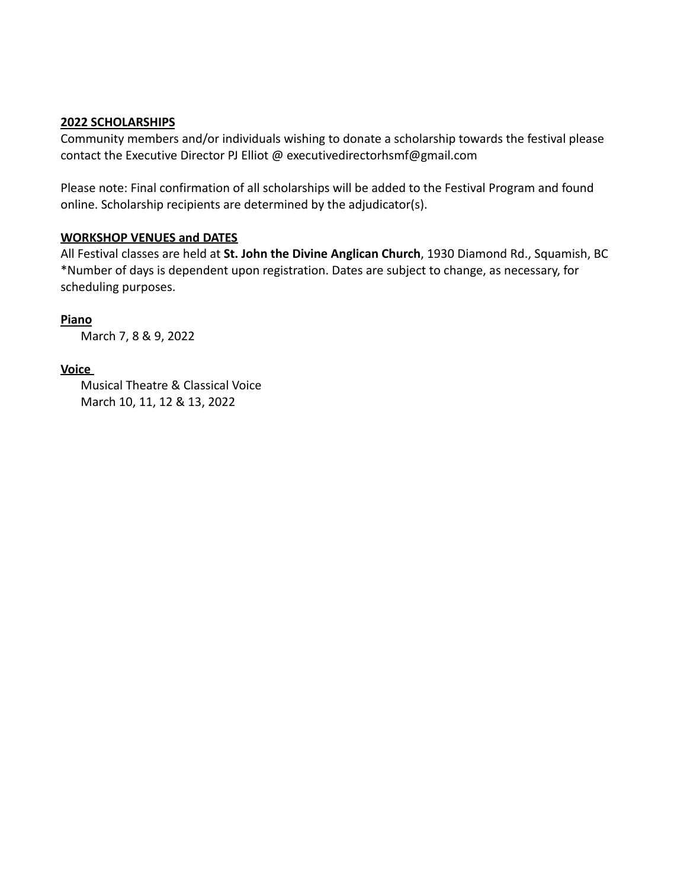#### **2022 SCHOLARSHIPS**

Community members and/or individuals wishing to donate a scholarship towards the festival please contact the Executive Director PJ Elliot @ executivedirectorhsmf@gmail.com

Please note: Final confirmation of all scholarships will be added to the Festival Program and found online. Scholarship recipients are determined by the adjudicator(s).

#### **WORKSHOP VENUES and DATES**

All Festival classes are held at **St. John the Divine Anglican Church**, 1930 Diamond Rd., Squamish, BC \*Number of days is dependent upon registration. Dates are subject to change, as necessary, for scheduling purposes.

#### **Piano**

March 7, 8 & 9, 2022

#### **Voice**

Musical Theatre & Classical Voice March 10, 11, 12 & 13, 2022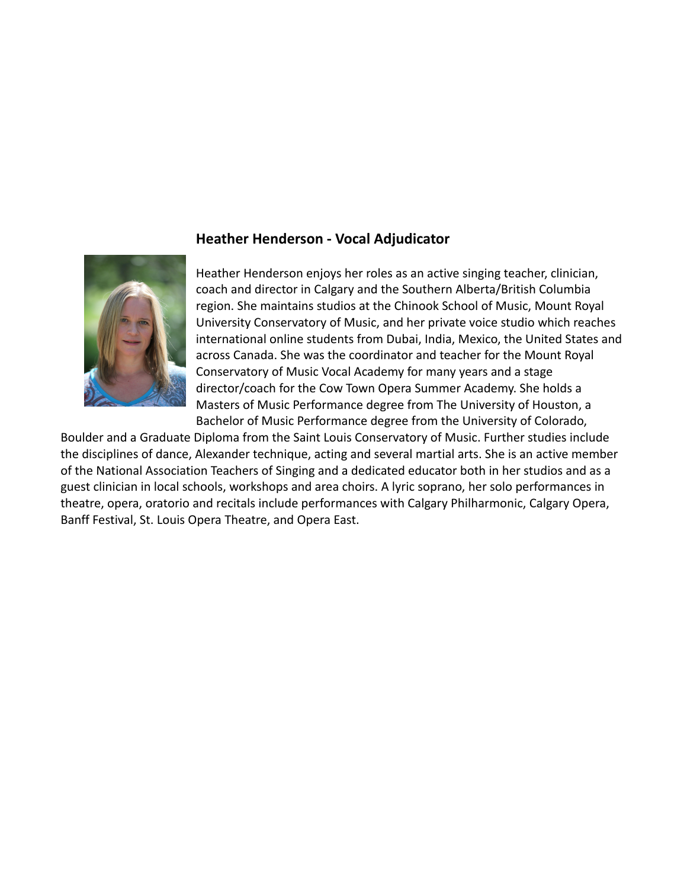# **Heather Henderson - Vocal Adjudicator**



Heather Henderson enjoys her roles as an active singing teacher, clinician, coach and director in Calgary and the Southern Alberta/British Columbia region. She maintains studios at the Chinook School of Music, Mount Royal University Conservatory of Music, and her private voice studio which reaches international online students from Dubai, India, Mexico, the United States and across Canada. She was the coordinator and teacher for the Mount Royal Conservatory of Music Vocal Academy for many years and a stage director/coach for the Cow Town Opera Summer Academy. She holds a Masters of Music Performance degree from The University of Houston, a Bachelor of Music Performance degree from the University of Colorado,

Boulder and a Graduate Diploma from the Saint Louis Conservatory of Music. Further studies include the disciplines of dance, Alexander technique, acting and several martial arts. She is an active member of the National Association Teachers of Singing and a dedicated educator both in her studios and as a guest clinician in local schools, workshops and area choirs. A lyric soprano, her solo performances in theatre, opera, oratorio and recitals include performances with Calgary Philharmonic, Calgary Opera, Banff Festival, St. Louis Opera Theatre, and Opera East.